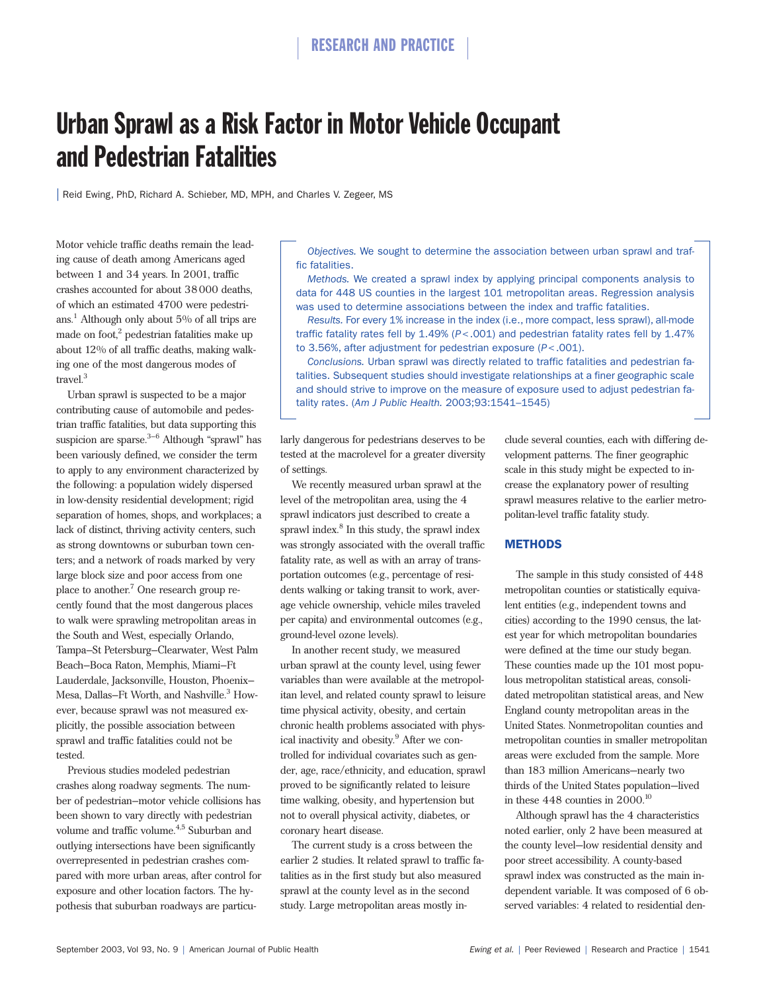# Urban Sprawl as a Risk Factor in Motor Vehicle Occupant and Pedestrian Fatalities

| Reid Ewing, PhD, Richard A. Schieber, MD, MPH, and Charles V. Zegeer, MS

Motor vehicle traffic deaths remain the leading cause of death among Americans aged between 1 and 34 years. In 2001, traffic crashes accounted for about 38000 deaths, of which an estimated 4700 were pedestrians.<sup>1</sup> Although only about  $5\%$  of all trips are made on foot, $2$  pedestrian fatalities make up about 12% of all traffic deaths, making walking one of the most dangerous modes of travel.3

Urban sprawl is suspected to be a major contributing cause of automobile and pedestrian traffic fatalities, but data supporting this suspicion are sparse. $3-6$  Although "sprawl" has been variously defined, we consider the term to apply to any environment characterized by the following: a population widely dispersed in low-density residential development; rigid separation of homes, shops, and workplaces; a lack of distinct, thriving activity centers, such as strong downtowns or suburban town centers; and a network of roads marked by very large block size and poor access from one place to another.<sup>7</sup> One research group recently found that the most dangerous places to walk were sprawling metropolitan areas in the South and West, especially Orlando, Tampa–St Petersburg–Clearwater, West Palm Beach–Boca Raton, Memphis, Miami–Ft Lauderdale, Jacksonville, Houston, Phoenix– Mesa, Dallas–Ft Worth, and Nashville.<sup>3</sup> However, because sprawl was not measured explicitly, the possible association between sprawl and traffic fatalities could not be tested.

Previous studies modeled pedestrian crashes along roadway segments. The number of pedestrian–motor vehicle collisions has been shown to vary directly with pedestrian volume and traffic volume.<sup>4,5</sup> Suburban and outlying intersections have been significantly overrepresented in pedestrian crashes compared with more urban areas, after control for exposure and other location factors. The hypothesis that suburban roadways are particu-

*Objectives.* We sought to determine the association between urban sprawl and traffic fatalities.

*Methods.* We created a sprawl index by applying principal components analysis to data for 448 US counties in the largest 101 metropolitan areas. Regression analysis was used to determine associations between the index and traffic fatalities.

*Results.* For every 1% increase in the index (i.e., more compact, less sprawl), all-mode traffic fatality rates fell by 1.49% (*P*<.001) and pedestrian fatality rates fell by 1.47% to 3.56%, after adjustment for pedestrian exposure (*P*<.001).

*Conclusions.* Urban sprawl was directly related to traffic fatalities and pedestrian fatalities. Subsequent studies should investigate relationships at a finer geographic scale and should strive to improve on the measure of exposure used to adjust pedestrian fatality rates. (*Am J Public Health.* 2003;93:1541–1545)

larly dangerous for pedestrians deserves to be tested at the macrolevel for a greater diversity of settings.

We recently measured urban sprawl at the level of the metropolitan area, using the 4 sprawl indicators just described to create a sprawl index.<sup>8</sup> In this study, the sprawl index was strongly associated with the overall traffic fatality rate, as well as with an array of transportation outcomes (e.g., percentage of residents walking or taking transit to work, average vehicle ownership, vehicle miles traveled per capita) and environmental outcomes (e.g., ground-level ozone levels).

In another recent study, we measured urban sprawl at the county level, using fewer variables than were available at the metropolitan level, and related county sprawl to leisure time physical activity, obesity, and certain chronic health problems associated with physical inactivity and obesity.<sup>9</sup> After we controlled for individual covariates such as gender, age, race/ethnicity, and education, sprawl proved to be significantly related to leisure time walking, obesity, and hypertension but not to overall physical activity, diabetes, or coronary heart disease.

The current study is a cross between the earlier 2 studies. It related sprawl to traffic fatalities as in the first study but also measured sprawl at the county level as in the second study. Large metropolitan areas mostly include several counties, each with differing development patterns. The finer geographic scale in this study might be expected to increase the explanatory power of resulting sprawl measures relative to the earlier metropolitan-level traffic fatality study.

## METHODS

The sample in this study consisted of 448 metropolitan counties or statistically equivalent entities (e.g., independent towns and cities) according to the 1990 census, the latest year for which metropolitan boundaries were defined at the time our study began. These counties made up the 101 most populous metropolitan statistical areas, consolidated metropolitan statistical areas, and New England county metropolitan areas in the United States. Nonmetropolitan counties and metropolitan counties in smaller metropolitan areas were excluded from the sample. More than 183 million Americans—nearly two thirds of the United States population—lived in these  $448$  counties in  $2000$ .<sup>10</sup>

Although sprawl has the 4 characteristics noted earlier, only 2 have been measured at the county level—low residential density and poor street accessibility. A county-based sprawl index was constructed as the main independent variable. It was composed of 6 observed variables: 4 related to residential den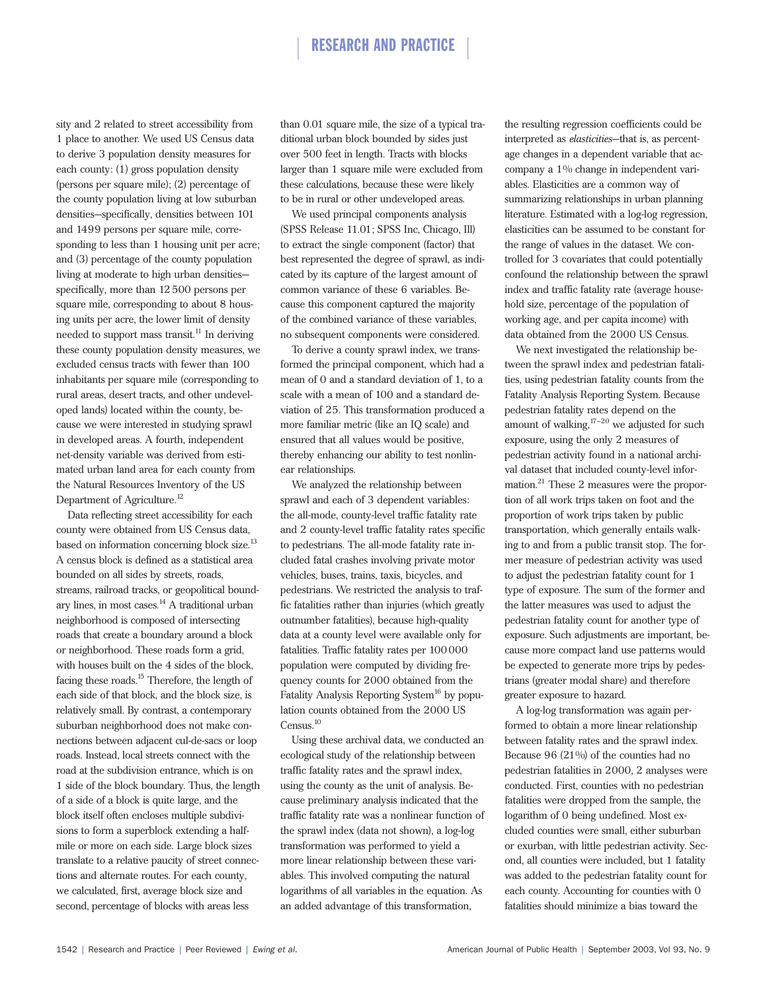sity and 2 related to street accessibility from 1 place to another. We used US Census data to derive 3 population density measures for each county: (1) gross population density (persons per square mile); (2) percentage of the county population living at low suburban densities—specifically, densities between 101 and 1499 persons per square mile, corresponding to less than 1 housing unit per acre; and (3) percentage of the county population living at moderate to high urban densities specifically, more than 12500 persons per square mile, corresponding to about 8 housing units per acre, the lower limit of density needed to support mass transit.<sup>11</sup> In deriving these county population density measures, we excluded census tracts with fewer than 100 inhabitants per square mile (corresponding to rural areas, desert tracts, and other undeveloped lands) located within the county, because we were interested in studying sprawl in developed areas. A fourth, independent net-density variable was derived from estimated urban land area for each county from the Natural Resources Inventory of the US Department of Agriculture.<sup>12</sup>

Data reflecting street accessibility for each county were obtained from US Census data, based on information concerning block size.<sup>13</sup> A census block is defined as a statistical area bounded on all sides by streets, roads, streams, railroad tracks, or geopolitical boundary lines, in most cases.<sup>14</sup> A traditional urban neighborhood is composed of intersecting roads that create a boundary around a block or neighborhood. These roads form a grid, with houses built on the 4 sides of the block, facing these roads.15 Therefore, the length of each side of that block, and the block size, is relatively small. By contrast, a contemporary suburban neighborhood does not make connections between adjacent cul-de-sacs or loop roads. Instead, local streets connect with the road at the subdivision entrance, which is on 1 side of the block boundary. Thus, the length of a side of a block is quite large, and the block itself often encloses multiple subdivisions to form a superblock extending a halfmile or more on each side. Large block sizes translate to a relative paucity of street connections and alternate routes. For each county, we calculated, first, average block size and second, percentage of blocks with areas less

than 0.01 square mile, the size of a typical traditional urban block bounded by sides just over 500 feet in length. Tracts with blocks larger than 1 square mile were excluded from these calculations, because these were likely to be in rural or other undeveloped areas.

We used principal components analysis (SPSS Release 11.01; SPSS Inc, Chicago, Ill) to extract the single component (factor) that best represented the degree of sprawl, as indicated by its capture of the largest amount of common variance of these 6 variables. Because this component captured the majority of the combined variance of these variables, no subsequent components were considered.

To derive a county sprawl index, we transformed the principal component, which had a mean of 0 and a standard deviation of 1, to a scale with a mean of 100 and a standard deviation of 25. This transformation produced a more familiar metric (like an IQ scale) and ensured that all values would be positive, thereby enhancing our ability to test nonlinear relationships.

We analyzed the relationship between sprawl and each of 3 dependent variables: the all-mode, county-level traffic fatality rate and 2 county-level traffic fatality rates specific to pedestrians. The all-mode fatality rate included fatal crashes involving private motor vehicles, buses, trains, taxis, bicycles, and pedestrians. We restricted the analysis to traffic fatalities rather than injuries (which greatly outnumber fatalities), because high-quality data at a county level were available only for fatalities. Traffic fatality rates per  $100000$ population were computed by dividing frequency counts for 2000 obtained from the Fatality Analysis Reporting System<sup>16</sup> by population counts obtained from the 2000 US Census.<sup>10</sup>

Using these archival data, we conducted an ecological study of the relationship between traffic fatality rates and the sprawl index, using the county as the unit of analysis. Because preliminary analysis indicated that the traffic fatality rate was a nonlinear function of the sprawl index (data not shown), a log-log transformation was performed to yield a more linear relationship between these variables. This involved computing the natural logarithms of all variables in the equation. As an added advantage of this transformation,

the resulting regression coefficients could be interpreted as *elasticities*—that is, as percentage changes in a dependent variable that accompany a 1% change in independent variables. Elasticities are a common way of summarizing relationships in urban planning literature. Estimated with a log-log regression, elasticities can be assumed to be constant for the range of values in the dataset. We controlled for 3 covariates that could potentially confound the relationship between the sprawl index and traffic fatality rate (average household size, percentage of the population of working age, and per capita income) with data obtained from the 2000 US Census.

We next investigated the relationship between the sprawl index and pedestrian fatalities, using pedestrian fatality counts from the Fatality Analysis Reporting System. Because pedestrian fatality rates depend on the amount of walking, $17-20$  we adjusted for such exposure, using the only 2 measures of pedestrian activity found in a national archival dataset that included county-level information.21 These 2 measures were the proportion of all work trips taken on foot and the proportion of work trips taken by public transportation, which generally entails walking to and from a public transit stop. The former measure of pedestrian activity was used to adjust the pedestrian fatality count for 1 type of exposure. The sum of the former and the latter measures was used to adjust the pedestrian fatality count for another type of exposure. Such adjustments are important, because more compact land use patterns would be expected to generate more trips by pedestrians (greater modal share) and therefore greater exposure to hazard.

A log-log transformation was again performed to obtain a more linear relationship between fatality rates and the sprawl index. Because 96 (21%) of the counties had no pedestrian fatalities in 2000, 2 analyses were conducted. First, counties with no pedestrian fatalities were dropped from the sample, the logarithm of 0 being undefined. Most excluded counties were small, either suburban or exurban, with little pedestrian activity. Second, all counties were included, but 1 fatality was added to the pedestrian fatality count for each county. Accounting for counties with 0 fatalities should minimize a bias toward the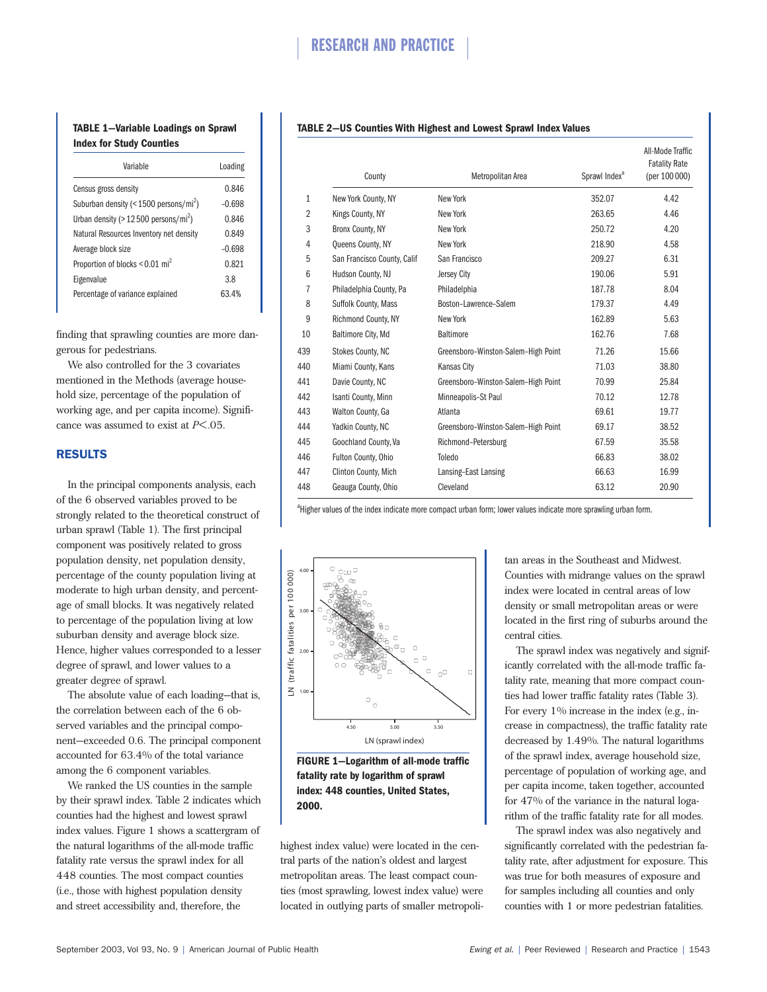# **TABLE 1—Variable Loadings on Sprawl Index for Study Counties**

| Variable                                             | Loading  |
|------------------------------------------------------|----------|
| Census gross density                                 | 0.846    |
| Suburban density (< $1500$ persons/mi <sup>2</sup> ) | $-0.698$ |
| Urban density ( $>$ 12500 persons/mi <sup>2</sup> )  | 0.846    |
| Natural Resources Inventory net density              | 0.849    |
| Average block size                                   | $-0.698$ |
| Proportion of blocks < 0.01 mi <sup>2</sup>          | 0.821    |
| Eigenvalue                                           | 3.8      |
| Percentage of variance explained                     | 63.4%    |

finding that sprawling counties are more dangerous for pedestrians.

We also controlled for the 3 covariates mentioned in the Methods (average household size, percentage of the population of working age, and per capita income). Significance was assumed to exist at *P*<.05.

# RESULTS

In the principal components analysis, each of the 6 observed variables proved to be strongly related to the theoretical construct of urban sprawl (Table 1). The first principal component was positively related to gross population density, net population density, percentage of the county population living at moderate to high urban density, and percentage of small blocks. It was negatively related to percentage of the population living at low suburban density and average block size. Hence, higher values corresponded to a lesser degree of sprawl, and lower values to a greater degree of sprawl.

The absolute value of each loading—that is, the correlation between each of the 6 observed variables and the principal component—exceeded 0.6. The principal component accounted for 63.4% of the total variance among the 6 component variables.

We ranked the US counties in the sample by their sprawl index. Table 2 indicates which counties had the highest and lowest sprawl index values. Figure 1 shows a scattergram of the natural logarithms of the all-mode traffic fatality rate versus the sprawl index for all 448 counties. The most compact counties (i.e., those with highest population density and street accessibility and, therefore, the

### **TABLE 2—US Counties With Highest and Lowest Sprawl Index Values**

|                | County                      | Metropolitan Area                   | Sprawl Index <sup>a</sup> | All-Mode Traffic<br><b>Fatality Rate</b><br>(per 100 000) |
|----------------|-----------------------------|-------------------------------------|---------------------------|-----------------------------------------------------------|
| $\mathbf{1}$   | New York County, NY         | New York                            | 352.07                    | 4.42                                                      |
| $\overline{2}$ | Kings County, NY            | New York                            | 263.65                    | 4.46                                                      |
| 3              | Bronx County, NY            | New York                            | 250.72                    | 4.20                                                      |
| 4              | <b>Queens County, NY</b>    | New York                            | 218.90                    | 4.58                                                      |
| 5              | San Francisco County, Calif | San Francisco                       | 209.27                    | 6.31                                                      |
| 6              | Hudson County, NJ           | Jersey City                         | 190.06                    | 5.91                                                      |
| $\overline{1}$ | Philadelphia County, Pa     | Philadelphia                        | 187.78                    | 8.04                                                      |
| 8              | Suffolk County, Mass        | Boston-Lawrence-Salem               | 179.37                    | 4.49                                                      |
| 9              | Richmond County, NY         | New York                            | 162.89                    | 5.63                                                      |
| 10             | Baltimore City, Md          | <b>Baltimore</b>                    | 162.76                    | 7.68                                                      |
| 439            | <b>Stokes County, NC</b>    | Greensboro-Winston-Salem-High Point | 71.26                     | 15.66                                                     |
| 440            | Miami County, Kans          | <b>Kansas City</b>                  | 71.03                     | 38.80                                                     |
| 441            | Davie County, NC            | Greensboro-Winston-Salem-High Point | 70.99                     | 25.84                                                     |
| 442            | Isanti County, Minn         | Minneapolis-St Paul                 | 70.12                     | 12.78                                                     |
| 443            | Walton County, Ga           | Atlanta                             | 69.61                     | 19.77                                                     |
| 444            | Yadkin County, NC           | Greensboro-Winston-Salem-High Point | 69.17                     | 38.52                                                     |
| 445            | Goochland County, Va        | Richmond-Petersburg                 | 67.59                     | 35.58                                                     |
| 446            | Fulton County, Ohio         | Toledo                              | 66.83                     | 38.02                                                     |
| 447            | Clinton County, Mich        | Lansing-East Lansing                | 66.63                     | 16.99                                                     |
| 448            | Geauga County, Ohio         | Cleveland                           | 63.12                     | 20.90                                                     |

<sup>a</sup>Higher values of the index indicate more compact urban form; lower values indicate more sprawling urban form.



**FIGURE 1—Logarithm of all-mode traffic fatality rate by logarithm of sprawl index: 448 counties, United States, 2000.**

highest index value) were located in the central parts of the nation's oldest and largest metropolitan areas. The least compact counties (most sprawling, lowest index value) were located in outlying parts of smaller metropolitan areas in the Southeast and Midwest. Counties with midrange values on the sprawl index were located in central areas of low density or small metropolitan areas or were located in the first ring of suburbs around the central cities.

The sprawl index was negatively and significantly correlated with the all-mode traffic fatality rate, meaning that more compact counties had lower traffic fatality rates (Table 3). For every  $1\%$  increase in the index (e.g., increase in compactness), the traffic fatality rate decreased by 1.49%. The natural logarithms of the sprawl index, average household size, percentage of population of working age, and per capita income, taken together, accounted for 47% of the variance in the natural logarithm of the traffic fatality rate for all modes.

The sprawl index was also negatively and significantly correlated with the pedestrian fatality rate, after adjustment for exposure. This was true for both measures of exposure and for samples including all counties and only counties with 1 or more pedestrian fatalities.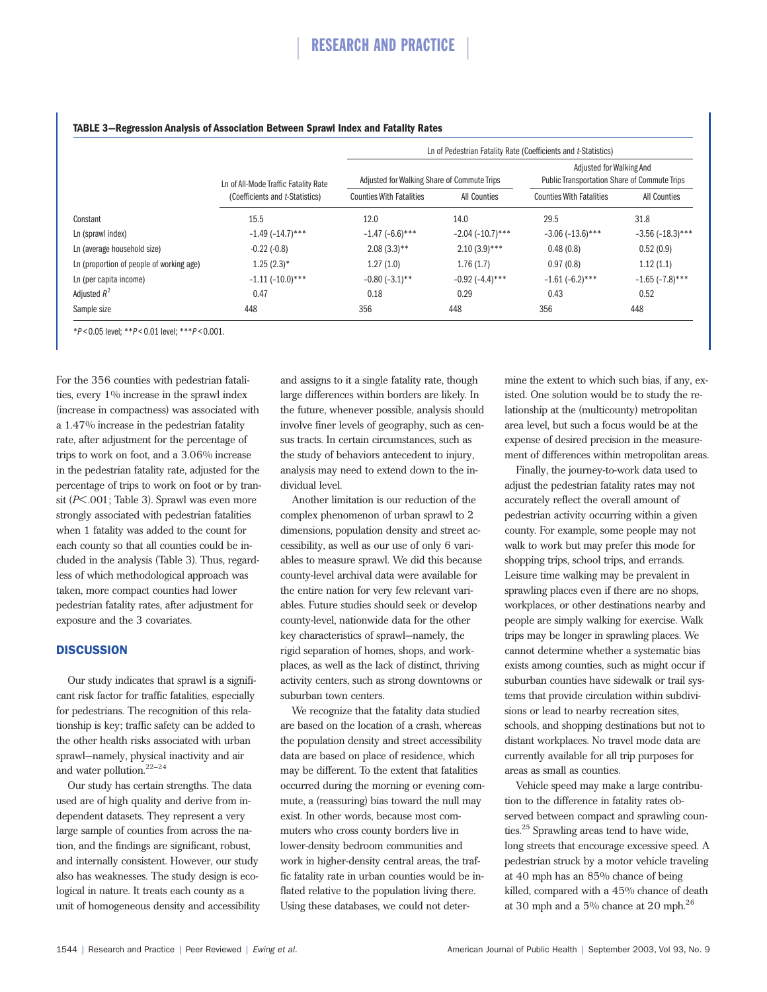# RESEARCH AND PRACTICE

|                                          | Ln of All-Mode Traffic Fatality Rate<br>(Coefficients and t-Statistics) | Ln of Pedestrian Fatality Rate (Coefficients and t-Statistics) |                       |                                              |                       |
|------------------------------------------|-------------------------------------------------------------------------|----------------------------------------------------------------|-----------------------|----------------------------------------------|-----------------------|
|                                          |                                                                         |                                                                |                       | Adjusted for Walking And                     |                       |
|                                          |                                                                         | Adjusted for Walking Share of Commute Trips                    |                       | Public Transportation Share of Commute Trips |                       |
|                                          |                                                                         | <b>Counties With Fatalities</b>                                | <b>All Counties</b>   | <b>Counties With Fatalities</b>              | All Counties          |
| Constant                                 | 15.5                                                                    | 12.0                                                           | 14.0                  | 29.5                                         | 31.8                  |
| Ln (sprawl index)                        | $-1.49(-14.7)$ ***                                                      | $-1.47$ (-6.6)***                                              | $-2.04$ $(-10.7)$ *** | $-3.06$ $(-13.6)$ ***                        | $-3.56$ $(-18.3)$ *** |
| Ln (average household size)              | $-0.22(-0.8)$                                                           | $2.08(3.3)$ **                                                 | $2.10(3.9)$ ***       | 0.48(0.8)                                    | 0.52(0.9)             |
| Ln (proportion of people of working age) | $1.25(2.3)$ *                                                           | 1.27(1.0)                                                      | 1.76(1.7)             | 0.97(0.8)                                    | 1.12(1.1)             |
| Ln (per capita income)                   | $-1.11$ $(-10.0)$ ***                                                   | $-0.80$ $(-3.1)$ **                                            | $-0.92$ $(-4.4)$ ***  | $-1.61(-6.2)$ ***                            | $-1.65$ (-7.8)***     |
| Adjusted $R^2$                           | 0.47                                                                    | 0.18                                                           | 0.29                  | 0.43                                         | 0.52                  |
| Sample size                              | 448                                                                     | 356                                                            | 448                   | 356                                          | 448                   |

### **TABLE 3—Regression Analysis of Association Between Sprawl Index and Fatality Rates**

\**P* < 0.05 level; \*\**P* < 0.01 level; \*\*\**P* < 0.001.

For the 356 counties with pedestrian fatalities, every 1% increase in the sprawl index (increase in compactness) was associated with a 1.47% increase in the pedestrian fatality rate, after adjustment for the percentage of trips to work on foot, and a 3.06% increase in the pedestrian fatality rate, adjusted for the percentage of trips to work on foot or by transit (*P*<.001; Table 3). Sprawl was even more strongly associated with pedestrian fatalities when 1 fatality was added to the count for each county so that all counties could be included in the analysis (Table 3). Thus, regardless of which methodological approach was taken, more compact counties had lower pedestrian fatality rates, after adjustment for exposure and the 3 covariates.

# **DISCUSSION**

Our study indicates that sprawl is a significant risk factor for traffic fatalities, especially for pedestrians. The recognition of this relationship is key; traffic safety can be added to the other health risks associated with urban sprawl—namely, physical inactivity and air and water pollution.<sup>22-24</sup>

Our study has certain strengths. The data used are of high quality and derive from independent datasets. They represent a very large sample of counties from across the nation, and the findings are significant, robust, and internally consistent. However, our study also has weaknesses. The study design is ecological in nature. It treats each county as a unit of homogeneous density and accessibility

and assigns to it a single fatality rate, though large differences within borders are likely. In the future, whenever possible, analysis should involve finer levels of geography, such as census tracts. In certain circumstances, such as the study of behaviors antecedent to injury, analysis may need to extend down to the individual level.

Another limitation is our reduction of the complex phenomenon of urban sprawl to 2 dimensions, population density and street accessibility, as well as our use of only 6 variables to measure sprawl. We did this because county-level archival data were available for the entire nation for very few relevant variables. Future studies should seek or develop county-level, nationwide data for the other key characteristics of sprawl—namely, the rigid separation of homes, shops, and workplaces, as well as the lack of distinct, thriving activity centers, such as strong downtowns or suburban town centers.

We recognize that the fatality data studied are based on the location of a crash, whereas the population density and street accessibility data are based on place of residence, which may be different. To the extent that fatalities occurred during the morning or evening commute, a (reassuring) bias toward the null may exist. In other words, because most commuters who cross county borders live in lower-density bedroom communities and work in higher-density central areas, the traffic fatality rate in urban counties would be inflated relative to the population living there. Using these databases, we could not determine the extent to which such bias, if any, existed. One solution would be to study the relationship at the (multicounty) metropolitan area level, but such a focus would be at the expense of desired precision in the measurement of differences within metropolitan areas.

Finally, the journey-to-work data used to adjust the pedestrian fatality rates may not accurately reflect the overall amount of pedestrian activity occurring within a given county. For example, some people may not walk to work but may prefer this mode for shopping trips, school trips, and errands. Leisure time walking may be prevalent in sprawling places even if there are no shops, workplaces, or other destinations nearby and people are simply walking for exercise. Walk trips may be longer in sprawling places. We cannot determine whether a systematic bias exists among counties, such as might occur if suburban counties have sidewalk or trail systems that provide circulation within subdivisions or lead to nearby recreation sites, schools, and shopping destinations but not to distant workplaces. No travel mode data are currently available for all trip purposes for areas as small as counties.

Vehicle speed may make a large contribution to the difference in fatality rates observed between compact and sprawling counties.25 Sprawling areas tend to have wide, long streets that encourage excessive speed. A pedestrian struck by a motor vehicle traveling at 40 mph has an 85% chance of being killed, compared with a 45% chance of death at 30 mph and a  $5\%$  chance at 20 mph.<sup>26</sup>